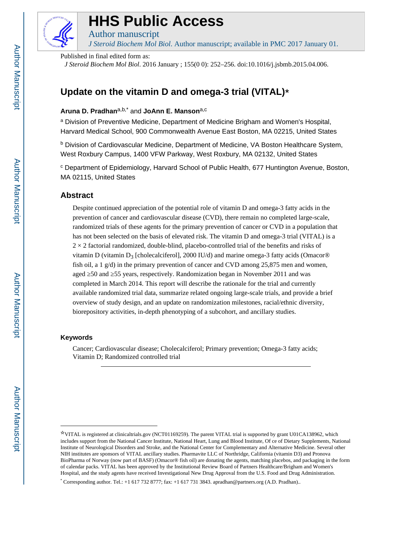

# **HHS Public Access**

Author manuscript *J Steroid Biochem Mol Biol*. Author manuscript; available in PMC 2017 January 01.

Published in final edited form as:

*J Steroid Biochem Mol Biol*. 2016 January ; 155(0 0): 252–256. doi:10.1016/j.jsbmb.2015.04.006.

# **Update on the vitamin D and omega-3 trial (VITAL)**☆

# **Aruna D. Pradhan**a,b,\* and **JoAnn E. Manson**a,c

<sup>a</sup> Division of Preventive Medicine, Department of Medicine Brigham and Women's Hospital, Harvard Medical School, 900 Commonwealth Avenue East Boston, MA 02215, United States

<sup>b</sup> Division of Cardiovascular Medicine, Department of Medicine, VA Boston Healthcare System, West Roxbury Campus, 1400 VFW Parkway, West Roxbury, MA 02132, United States

<sup>c</sup> Department of Epidemiology, Harvard School of Public Health, 677 Huntington Avenue, Boston, MA 02115, United States

## **Abstract**

Despite continued appreciation of the potential role of vitamin D and omega-3 fatty acids in the prevention of cancer and cardiovascular disease (CVD), there remain no completed large-scale, randomized trials of these agents for the primary prevention of cancer or CVD in a population that has not been selected on the basis of elevated risk. The vitamin D and omega-3 trial (VITAL) is a  $2 \times 2$  factorial randomized, double-blind, placebo-controlled trial of the benefits and risks of vitamin D (vitamin D<sub>3</sub> [cholecalciferol], 2000 IU/d) and marine omega-3 fatty acids (Omacor<sup>®</sup>) fish oil, a 1 g/d) in the primary prevention of cancer and CVD among 25,875 men and women, aged 50 and 55 years, respectively. Randomization began in November 2011 and was completed in March 2014. This report will describe the rationale for the trial and currently available randomized trial data, summarize related ongoing large-scale trials, and provide a brief overview of study design, and an update on randomization milestones, racial/ethnic diversity, biorepository activities, in-depth phenotyping of a subcohort, and ancillary studies.

#### **Keywords**

Cancer; Cardiovascular disease; Cholecalciferol; Primary prevention; Omega-3 fatty acids; Vitamin D; Randomized controlled trial

<sup>☆</sup>VITAL is registered at clinicaltrials.gov (NCT01169259). The parent VITAL trial is supported by grant U01CA138962, which includes support from the National Cancer Institute, National Heart, Lung and Blood Institute, Of ce of Dietary Supplements, National Institute of Neurological Disorders and Stroke, and the National Center for Complementary and Alternative Medicine. Several other NIH institutes are sponsors of VITAL ancillary studies. Pharmavite LLC of Northridge, California (vitamin D3) and Pronova BioPharma of Norway (now part of BASF) (Omacor® fish oil) are donating the agents, matching placebos, and packaging in the form of calendar packs. VITAL has been approved by the Institutional Review Board of Partners Healthcare/Brigham and Women's Hospital, and the study agents have received Investigational New Drug Approval from the U.S. Food and Drug Administration.

<sup>\*</sup> Corresponding author. Tel.: +1 617 732 8777; fax: +1 617 731 3843. apradhan@partners.org (A.D. Pradhan)..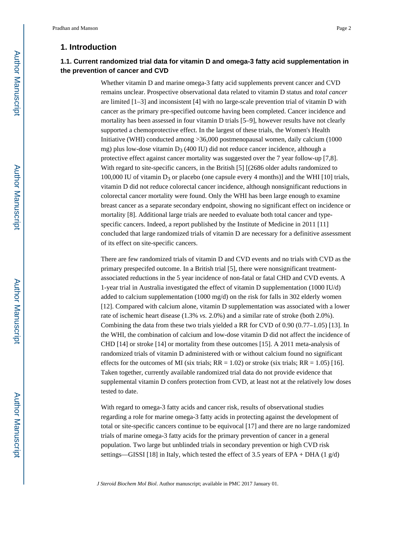#### **1. Introduction**

## **1.1. Current randomized trial data for vitamin D and omega-3 fatty acid supplementation in the prevention of cancer and CVD**

Whether vitamin D and marine omega-3 fatty acid supplements prevent cancer and CVD remains unclear. Prospective observational data related to vitamin D status and *total cancer*  are limited [1–3] and inconsistent [4] with no large-scale prevention trial of vitamin D with cancer as the primary pre-specified outcome having been completed. Cancer incidence and mortality has been assessed in four vitamin D trials [5–9], however results have not clearly supported a chemoprotective effect. In the largest of these trials, the Women's Health Initiative (WHI) conducted among >36,000 postmenopausal women, daily calcium (1000 mg) plus low-dose vitamin  $D_3$  (400 IU) did not reduce cancer incidence, although a protective effect against cancer mortality was suggested over the 7 year follow-up [7,8]. With regard to site-specific cancers, in the British [5] [(2686 older adults randomized to 100,000 IU of vitamin  $D_3$  or placebo (one capsule every 4 months)] and the WHI [10] trials, vitamin D did not reduce colorectal cancer incidence, although nonsignificant reductions in colorectal cancer mortality were found. Only the WHI has been large enough to examine breast cancer as a separate secondary endpoint, showing no significant effect on incidence or mortality [8]. Additional large trials are needed to evaluate both total cancer and typespecific cancers. Indeed, a report published by the Institute of Medicine in 2011 [11] concluded that large randomized trials of vitamin D are necessary for a definitive assessment of its effect on site-specific cancers.

There are few randomized trials of vitamin D and CVD events and no trials with CVD as the primary prespecifed outcome. In a British trial [5], there were nonsignificant treatmentassociated reductions in the 5 year incidence of non-fatal or fatal CHD and CVD events. A 1-year trial in Australia investigated the effect of vitamin D supplementation (1000 IU/d) added to calcium supplementation (1000 mg/d) on the risk for falls in 302 elderly women [12]. Compared with calcium alone, vitamin D supplementation was associated with a lower rate of ischemic heart disease (1.3% *vs.* 2.0%) and a similar rate of stroke (both 2.0%). Combining the data from these two trials yielded a RR for CVD of 0.90 (0.77–1.05) [13]. In the WHI, the combination of calcium and low-dose vitamin D did not affect the incidence of CHD [14] or stroke [14] or mortality from these outcomes [15]. A 2011 meta-analysis of randomized trials of vitamin D administered with or without calcium found no significant effects for the outcomes of MI (six trials;  $RR = 1.02$ ) or stroke (six trials;  $RR = 1.05$ ) [16]. Taken together, currently available randomized trial data do not provide evidence that supplemental vitamin D confers protection from CVD, at least not at the relatively low doses tested to date.

With regard to omega-3 fatty acids and cancer risk, results of observational studies regarding a role for marine omega-3 fatty acids in protecting against the development of total or site-specific cancers continue to be equivocal [17] and there are no large randomized trials of marine omega-3 fatty acids for the primary prevention of cancer in a general population. Two large but unblinded trials in secondary prevention or high CVD risk settings—GISSI [18] in Italy, which tested the effect of 3.5 years of EPA + DHA (1 g/d)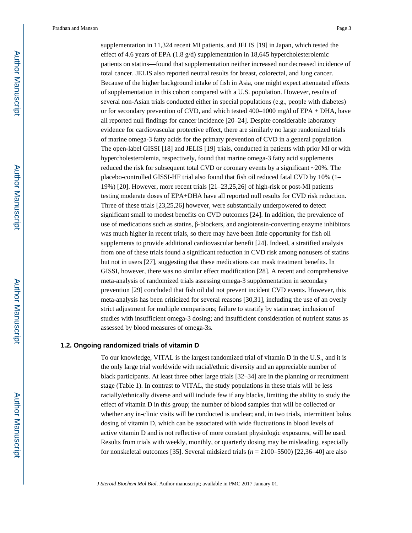Pradhan and Manson Page 3

supplementation in 11,324 recent MI patients, and JELIS [19] in Japan, which tested the effect of 4.6 years of EPA (1.8 g/d) supplementation in 18,645 hypercholesterolemic patients on statins—found that supplementation neither increased nor decreased incidence of total cancer. JELIS also reported neutral results for breast, colorectal, and lung cancer. Because of the higher background intake of fish in Asia, one might expect attenuated effects of supplementation in this cohort compared with a U.S. population. However, results of several non-Asian trials conducted either in special populations (e.g., people with diabetes) or for secondary prevention of CVD, and which tested 400–1000 mg/d of EPA + DHA, have all reported null findings for cancer incidence [20–24]. Despite considerable laboratory evidence for cardiovascular protective effect, there are similarly no large randomized trials of marine omega-3 fatty acids for the primary prevention of CVD in a general population. The open-label GISSI [18] and JELIS [19] trials, conducted in patients with prior MI or with hypercholesterolemia, respectively, found that marine omega-3 fatty acid supplements reduced the risk for subsequent total CVD or coronary events by a significant  $\sim$ 20%. The placebo-controlled GISSI-HF trial also found that fish oil reduced fatal CVD by 10% (1– 19%) [20]. However, more recent trials [21–23,25,26] of high-risk or post-MI patients testing moderate doses of EPA+DHA have all reported null results for CVD risk reduction. Three of these trials [23,25,26] however, were substantially underpowered to detect significant small to modest benefits on CVD outcomes [24]. In addition, the prevalence of use of medications such as statins, β-blockers, and angiotensin-converting enzyme inhibitors was much higher in recent trials, so there may have been little opportunity for fish oil supplements to provide additional cardiovascular benefit [24]. Indeed, a stratified analysis from one of these trials found a significant reduction in CVD risk among nonusers of statins but not in users [27], suggesting that these medications can mask treatment benefits. In GISSI, however, there was no similar effect modification [28]. A recent and comprehensive meta-analysis of randomized trials assessing omega-3 supplementation in secondary prevention [29] concluded that fish oil did not prevent incident CVD events. However, this meta-analysis has been criticized for several reasons [30,31], including the use of an overly strict adjustment for multiple comparisons; failure to stratify by statin use; inclusion of studies with insufficient omega-3 dosing; and insufficient consideration of nutrient status as assessed by blood measures of omega-3s.

#### **1.2. Ongoing randomized trials of vitamin D**

To our knowledge, VITAL is the largest randomized trial of vitamin D in the U.S., and it is the only large trial worldwide with racial/ethnic diversity and an appreciable number of black participants. At least three other large trials [32–34] are in the planning or recruitment stage (Table 1). In contrast to VITAL, the study populations in these trials will be less racially/ethnically diverse and will include few if any blacks, limiting the ability to study the effect of vitamin D in this group; the number of blood samples that will be collected or whether any in-clinic visits will be conducted is unclear; and, in two trials, intermittent bolus dosing of vitamin D, which can be associated with wide fluctuations in blood levels of active vitamin D and is not reflective of more constant physiologic exposures, will be used. Results from trials with weekly, monthly, or quarterly dosing may be misleading, especially for nonskeletal outcomes [35]. Several midsized trials (*n* = 2100–5500) [22,36–40] are also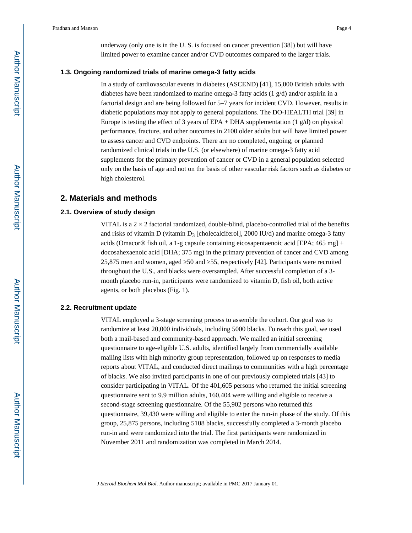underway (only one is in the U. S. is focused on cancer prevention [38]) but will have limited power to examine cancer and/or CVD outcomes compared to the larger trials.

#### **1.3. Ongoing randomized trials of marine omega-3 fatty acids**

In a study of cardiovascular events in diabetes (ASCEND) [41], 15,000 British adults with diabetes have been randomized to marine omega-3 fatty acids (1 g/d) and/or aspirin in a factorial design and are being followed for 5–7 years for incident CVD. However, results in diabetic populations may not apply to general populations. The DO-HEALTH trial [39] in Europe is testing the effect of 3 years of EPA + DHA supplementation  $(1 \text{ g/d})$  on physical performance, fracture, and other outcomes in 2100 older adults but will have limited power to assess cancer and CVD endpoints. There are no completed, ongoing, or planned randomized clinical trials in the U.S. (or elsewhere) of marine omega-3 fatty acid supplements for the primary prevention of cancer or CVD in a general population selected only on the basis of age and not on the basis of other vascular risk factors such as diabetes or high cholesterol.

#### **2. Materials and methods**

#### **2.1. Overview of study design**

VITAL is a  $2 \times 2$  factorial randomized, double-blind, placebo-controlled trial of the benefits and risks of vitamin D (vitamin  $D_3$  [cholecalciferol], 2000 IU/d) and marine omega-3 fatty acids (Omacor<sup>®</sup> fish oil, a 1-g capsule containing eicosapentaenoic acid [EPA; 465 mg] + docosahexaenoic acid [DHA; 375 mg) in the primary prevention of cancer and CVD among 25,875 men and women, aged ≥50 and ≥55, respectively [42]. Participants were recruited throughout the U.S., and blacks were oversampled. After successful completion of a 3 month placebo run-in, participants were randomized to vitamin D, fish oil, both active agents, or both placebos (Fig. 1).

#### **2.2. Recruitment update**

VITAL employed a 3-stage screening process to assemble the cohort. Our goal was to randomize at least 20,000 individuals, including 5000 blacks. To reach this goal, we used both a mail-based and community-based approach. We mailed an initial screening questionnaire to age-eligible U.S. adults, identified largely from commercially available mailing lists with high minority group representation, followed up on responses to media reports about VITAL, and conducted direct mailings to communities with a high percentage of blacks. We also invited participants in one of our previously completed trials [43] to consider participating in VITAL. Of the 401,605 persons who returned the initial screening questionnaire sent to 9.9 million adults, 160,404 were willing and eligible to receive a second-stage screening questionnaire. Of the 55,902 persons who returned this questionnaire, 39,430 were willing and eligible to enter the run-in phase of the study. Of this group, 25,875 persons, including 5108 blacks, successfully completed a 3-month placebo run-in and were randomized into the trial. The first participants were randomized in November 2011 and randomization was completed in March 2014.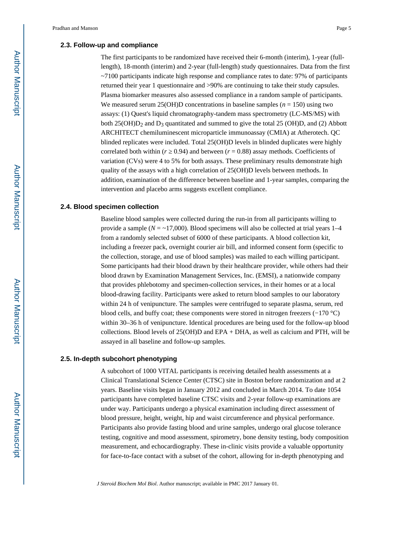#### **2.3. Follow-up and compliance**

The first participants to be randomized have received their 6-month (interim), 1-year (fulllength), 18-month (interim) and 2-year (full-length) study questionnaires. Data from the first ~7100 participants indicate high response and compliance rates to date: 97% of participants returned their year 1 questionnaire and >90% are continuing to take their study capsules. Plasma biomarker measures also assessed compliance in a random sample of participants. We measured serum 25(OH)D concentrations in baseline samples ( $n = 150$ ) using two assays: (1) Quest's liquid chromatography-tandem mass spectrometry (LC-MS/MS) with both 25(OH) $D_2$  and  $D_3$  quantitated and summed to give the total 25 (OH) $D$ , and (2) Abbott ARCHITECT chemiluminescent microparticle immunoassay (CMIA) at Atherotech. QC blinded replicates were included. Total 25(OH)D levels in blinded duplicates were highly correlated both within  $(r \ 0.94)$  and between  $(r = 0.88)$  assay methods. Coefficients of variation (CVs) were 4 to 5% for both assays. These preliminary results demonstrate high quality of the assays with a high correlation of 25(OH)D levels between methods. In addition, examination of the difference between baseline and 1-year samples, comparing the intervention and placebo arms suggests excellent compliance.

#### **2.4. Blood specimen collection**

Baseline blood samples were collected during the run-in from all participants willing to provide a sample ( $N = -17,000$ ). Blood specimens will also be collected at trial years 1–4 from a randomly selected subset of 6000 of these participants. A blood collection kit, including a freezer pack, overnight courier air bill, and informed consent form (specific to the collection, storage, and use of blood samples) was mailed to each willing participant. Some participants had their blood drawn by their healthcare provider, while others had their blood drawn by Examination Management Services, Inc. (EMSI), a nationwide company that provides phlebotomy and specimen-collection services, in their homes or at a local blood-drawing facility. Participants were asked to return blood samples to our laboratory within 24 h of venipuncture. The samples were centrifuged to separate plasma, serum, red blood cells, and buffy coat; these components were stored in nitrogen freezers (−170 °C) within 30–36 h of venipuncture. Identical procedures are being used for the follow-up blood collections. Blood levels of  $25(OH)D$  and EPA + DHA, as well as calcium and PTH, will be assayed in all baseline and follow-up samples.

#### **2.5. In-depth subcohort phenotyping**

A subcohort of 1000 VITAL participants is receiving detailed health assessments at a Clinical Translational Science Center (CTSC) site in Boston before randomization and at 2 years. Baseline visits began in January 2012 and concluded in March 2014. To date 1054 participants have completed baseline CTSC visits and 2-year follow-up examinations are under way. Participants undergo a physical examination including direct assessment of blood pressure, height, weight, hip and waist circumference and physical performance. Participants also provide fasting blood and urine samples, undergo oral glucose tolerance testing, cognitive and mood assessment, spirometry, bone density testing, body composition measurement, and echocardiography. These in-clinic visits provide a valuable opportunity for face-to-face contact with a subset of the cohort, allowing for in-depth phenotyping and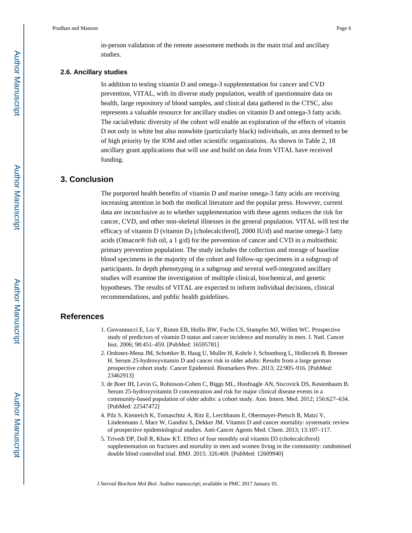in-person validation of the remote assessment methods in the main trial and ancillary studies.

#### **2.6. Ancillary studies**

In addition to testing vitamin D and omega-3 supplementation for cancer and CVD prevention, VITAL, with its diverse study population, wealth of questionnaire data on health, large repository of blood samples, and clinical data gathered in the CTSC, also represents a valuable resource for ancillary studies on vitamin D and omega-3 fatty acids. The racial/ethnic diversity of the cohort will enable an exploration of the effects of vitamin D not only in white but also nonwhite (particularly black) individuals, an area deemed to be of high priority by the IOM and other scientific organizations. As shown in Table 2, 18 ancillary grant applications that will use and build on data from VITAL have received funding.

#### **3. Conclusion**

The purported health benefits of vitamin D and marine omega-3 fatty acids are receiving increasing attention in both the medical literature and the popular press. However, current data are inconclusive as to whether supplementation with these agents reduces the risk for cancer, CVD, and other non-skeletal illnesses in the general population. VITAL will test the efficacy of vitamin D (vitamin  $D_3$  [cholecalciferol], 2000 IU/d) and marine omega-3 fatty acids (Omacor® fish oil, a 1 g/d) for the prevention of cancer and CVD in a multiethnic primary prevention population. The study includes the collection and storage of baseline blood specimens in the majority of the cohort and follow-up specimens in a subgroup of participants. In depth phenotyping in a subgroup and several well-integrated ancillary studies will examine the investigation of multiple clinical, biochemical, and genetic hypotheses. The results of VITAL are expected to inform individual decisions, clinical recommendations, and public health guidelines.

#### **References**

- 1. Giovannucci E, Liu Y, Rimm EB, Hollis BW, Fuchs CS, Stampfer MJ, Willett WC. Prospective study of predictors of vitamin D status and cancer incidence and mortality in men. J. Natl. Cancer Inst. 2006; 98:451–459. [PubMed: 16595781]
- 2. Ordonez-Mena JM, Schottker B, Haug U, Muller H, Kohrle J, Schomburg L, Holleczek B, Brenner H. Serum 25-hydroxyvitamin D and cancer risk in older adults: Results from a large german prospective cohort study. Cancer Epidemiol. Biomarkers Prev. 2013; 22:905–916. [PubMed: 23462913]
- 3. de Boer IH, Levin G, Robinson-Cohen C, Biggs ML, Hoofnagle AN, Siscovick DS, Kestenbaum B. Serum 25-hydroxyvitamin D concentration and risk for major clinical disease events in a community-based population of older adults: a cohort study. Ann. Intern. Med. 2012; 156:627–634. [PubMed: 22547472]
- 4. Pilz S, Kienreich K, Tomaschitz A, Ritz E, Lerchbaum E, Obermayer-Pietsch B, Matzi V, Lindenmann J, Marz W, Gandini S, Dekker JM. Vitamin D and cancer mortality: systematic review of prospective epidemiological studies. Anti-Cancer Agents Med. Chem. 2013; 13:107–117.
- 5. Trivedi DP, Doll R, Khaw KT. Effect of four monthly oral vitamin D3 (cholecalciferol) supplementation on fractures and mortality in men and women living in the community: randomised double blind controlled trial. BMJ. 2015; 326:469. [PubMed: 12609940]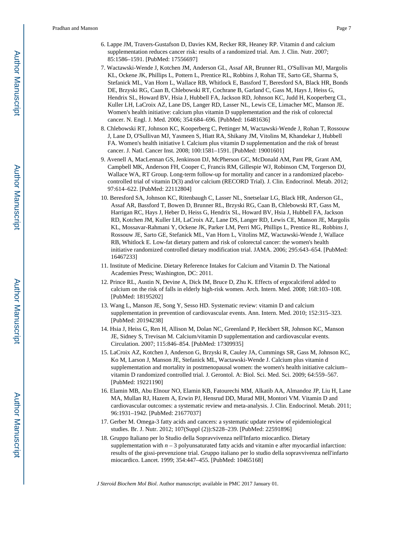- 6. Lappe JM, Travers-Gustafson D, Davies KM, Recker RR, Heaney RP. Vitamin d and calcium supplementation reduces cancer risk: results of a randomized trial. Am. J. Clin. Nutr. 2007; 85:1586–1591. [PubMed: 17556697]
- 7. Wactawski-Wende J, Kotchen JM, Anderson GL, Assaf AR, Brunner RL, O'Sullivan MJ, Margolis KL, Ockene JK, Phillips L, Pottern L, Prentice RL, Robbins J, Rohan TE, Sarto GE, Sharma S, Stefanick ML, Van Horn L, Wallace RB, Whitlock E, Bassford T, Beresford SA, Black HR, Bonds DE, Brzyski RG, Caan B, Chlebowski RT, Cochrane B, Garland C, Gass M, Hays J, Heiss G, Hendrix SL, Howard BV, Hsia J, Hubbell FA, Jackson RD, Johnson KC, Judd H, Kooperberg CL, Kuller LH, LaCroix AZ, Lane DS, Langer RD, Lasser NL, Lewis CE, Limacher MC, Manson JE. Women's health initiative: calcium plus vitamin D supplementation and the risk of colorectal cancer. N. Engl. J. Med. 2006; 354:684–696. [PubMed: 16481636]
- 8. Chlebowski RT, Johnson KC, Kooperberg C, Pettinger M, Wactawski-Wende J, Rohan T, Rossouw J, Lane D, O'Sullivan MJ, Yasmeen S, Hiatt RA, Shikany JM, Vitolins M, Khandekar J, Hubbell FA. Women's health initiative I. Calcium plus vitamin D supplementation and the risk of breast cancer. J. Natl. Cancer Inst. 2008; 100:1581–1591. [PubMed: 19001601]
- 9. Avenell A, MacLennan GS, Jenkinson DJ, McPherson GC, McDonald AM, Pant PR, Grant AM, Campbell MK, Anderson FH, Cooper C, Francis RM, Gillespie WJ, Robinson CM, Torgerson DJ, Wallace WA, RT Group. Long-term follow-up for mortality and cancer in a randomized placebocontrolled trial of vitamin D(3) and/or calcium (RECORD Trial). J. Clin. Endocrinol. Metab. 2012; 97:614–622. [PubMed: 22112804]
- 10. Beresford SA, Johnson KC, Ritenbaugh C, Lasser NL, Snetselaar LG, Black HR, Anderson GL, Assaf AR, Bassford T, Bowen D, Brunner RL, Brzyski RG, Caan B, Chlebowski RT, Gass M, Harrigan RC, Hays J, Heber D, Heiss G, Hendrix SL, Howard BV, Hsia J, Hubbell FA, Jackson RD, Kotchen JM, Kuller LH, LaCroix AZ, Lane DS, Langer RD, Lewis CE, Manson JE, Margolis KL, Mossavar-Rahmani Y, Ockene JK, Parker LM, Perri MG, Phillips L, Prentice RL, Robbins J, Rossouw JE, Sarto GE, Stefanick ML, Van Horn L, Vitolins MZ, Wactawski-Wende J, Wallace RB, Whitlock E. Low-fat dietary pattern and risk of colorectal cancer: the women's health initiative randomized controlled dietary modification trial. JAMA. 2006; 295:643–654. [PubMed: 16467233]
- 11. Institute of Medicine. Dietary Reference Intakes for Calcium and Vitamin D. The National Academies Press; Washington, DC: 2011.
- 12. Prince RL, Austin N, Devine A, Dick IM, Bruce D, Zhu K. Effects of ergocalciferol added to calcium on the risk of falls in elderly high-risk women. Arch. Intern. Med. 2008; 168:103–108. [PubMed: 18195202]
- 13. Wang L, Manson JE, Song Y, Sesso HD. Systematic review: vitamin D and calcium supplementation in prevention of cardiovascular events. Ann. Intern. Med. 2010; 152:315–323. [PubMed: 20194238]
- 14. Hsia J, Heiss G, Ren H, Allison M, Dolan NC, Greenland P, Heckbert SR, Johnson KC, Manson JE, Sidney S, Trevisan M. Calcium/vitamin D supplementation and cardiovascular events. Circulation. 2007; 115:846–854. [PubMed: 17309935]
- 15. LaCroix AZ, Kotchen J, Anderson G, Brzyski R, Cauley JA, Cummings SR, Gass M, Johnson KC, Ko M, Larson J, Manson JE, Stefanick ML, Wactawski-Wende J. Calcium plus vitamin d supplementation and mortality in postmenopausal women: the women's health initiative calcium– vitamin D randomized controlled trial. J. Gerontol. A: Biol. Sci. Med. Sci. 2009; 64:559–567. [PubMed: 19221190]
- 16. Elamin MB, Abu Elnour NO, Elamin KB, Fatourechi MM, Alkatib AA, Almandoz JP, Liu H, Lane MA, Mullan RJ, Hazem A, Erwin PJ, Hensrud DD, Murad MH, Montori VM. Vitamin D and cardiovascular outcomes: a systematic review and meta-analysis. J. Clin. Endocrinol. Metab. 2011; 96:1931–1942. [PubMed: 21677037]
- 17. Gerber M. Omega-3 fatty acids and cancers: a systematic update review of epidemiological studies. Br. J. Nutr. 2012; 107(Suppl (2)):S228–239. [PubMed: 22591896]
- 18. Gruppo Italiano per lo Studio della Sopravvivenza nell'Infarto miocardico. Dietary supplementation with  $n-3$  polyunsaturated fatty acids and vitamin e after myocardial infarction: results of the gissi-prevenzione trial. Gruppo italiano per lo studio della sopravvivenza nell'infarto miocardico. Lancet. 1999; 354:447–455. [PubMed: 10465168]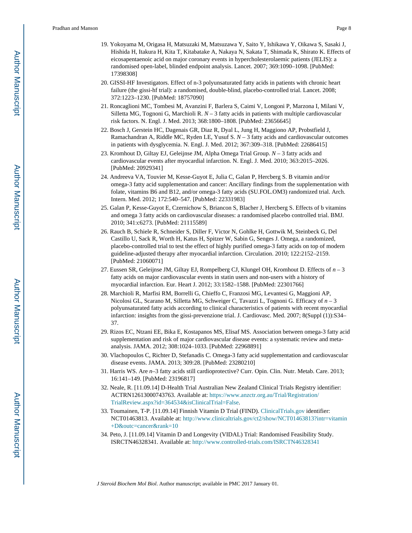- 19. Yokoyama M, Origasa H, Matsuzaki M, Matsuzawa Y, Saito Y, Ishikawa Y, Oikawa S, Sasaki J, Hishida H, Itakura H, Kita T, Kitabatake A, Nakaya N, Sakata T, Shimada K, Shirato K. Effects of eicosapentaenoic acid on major coronary events in hypercholesterolaemic patients (JELIS): a randomised open-label, blinded endpoint analysis. Lancet. 2007; 369:1090–1098. [PubMed: 17398308]
- 20. GISSI-HF Investigators. Effect of n-3 polyunsaturated fatty acids in patients with chronic heart failure (the gissi-hf trial): a randomised, double-blind, placebo-controlled trial. Lancet. 2008; 372:1223–1230. [PubMed: 18757090]
- 21. Roncaglioni MC, Tombesi M, Avanzini F, Barlera S, Caimi V, Longoni P, Marzona I, Milani V, Silletta MG, Tognoni G, Marchioli R. *N* – 3 fatty acids in patients with multiple cardiovascular risk factors. N. Engl. J. Med. 2013; 368:1800–1808. [PubMed: 23656645]
- 22. Bosch J, Gerstein HC, Dagenais GR, Diaz R, Dyal L, Jung H, Maggiono AP, Probstfield J, Ramachandran A, Riddle MC, Ryden LE, Yusuf S. *N* – 3 fatty acids and cardiovascular outcomes in patients with dysglycemia. N. Engl. J. Med. 2012; 367:309–318. [PubMed: 22686415]
- 23. Kromhout D, Giltay EJ, Geleijnse JM, Alpha Omega Trial Group. *N* 3 fatty acids and cardiovascular events after myocardial infarction. N. Engl. J. Med. 2010; 363:2015–2026. [PubMed: 20929341]
- 24. Andreeva VA, Touvier M, Kesse-Guyot E, Julia C, Galan P, Hercberg S. B vitamin and/or omega-3 fatty acid supplementation and cancer: Ancillary findings from the supplementation with folate, vitamins B6 and B12, and/or omega-3 fatty acids (SU.FOL.OM3) randomized trial. Arch. Intern. Med. 2012; 172:540–547. [PubMed: 22331983]
- 25. Galan P, Kesse-Guyot E, Czernichow S, Briancon S, Blacher J, Hercberg S. Effects of b vitamins and omega 3 fatty acids on cardiovascular diseases: a randomised placebo controlled trial. BMJ. 2010; 341:c6273. [PubMed: 21115589]
- 26. Rauch B, Schiele R, Schneider S, Diller F, Victor N, Gohlke H, Gottwik M, Steinbeck G, Del Castillo U, Sack R, Worth H, Katus H, Spitzer W, Sabin G, Senges J. Omega, a randomized, placebo-controlled trial to test the effect of highly purified omega-3 fatty acids on top of modern guideline-adjusted therapy after myocardial infarction. Circulation. 2010; 122:2152–2159. [PubMed: 21060071]
- 27. Eussen SR, Geleijnse JM, Giltay EJ, Rompelberg CJ, Klungel OH, Kromhout D. Effects of *n* 3 fatty acids on major cardiovascular events in statin users and non-users with a history of myocardial infarction. Eur. Heart J. 2012; 33:1582–1588. [PubMed: 22301766]
- 28. Marchioli R, Marfisi RM, Borrelli G, Chieffo C, Franzosi MG, Levantesi G, Maggioni AP, Nicolosi GL, Scarano M, Silletta MG, Schweiger C, Tavazzi L, Tognoni G. Efficacy of *n* – 3 polyunsaturated fatty acids according to clinical characteristics of patients with recent myocardial infarction: insights from the gissi-prevenzione trial. J. Cardiovasc. Med. 2007; 8(Suppl (1)):S34– 37.
- 29. Rizos EC, Ntzani EE, Bika E, Kostapanos MS, Elisaf MS. Association between omega-3 fatty acid supplementation and risk of major cardiovascular disease events: a systematic review and metaanalysis. JAMA. 2012; 308:1024–1033. [PubMed: 22968891]
- 30. Vlachopoulos C, Richter D, Stefanadis C. Omega-3 fatty acid supplementation and cardiovascular disease events. JAMA. 2013; 309:28. [PubMed: 23280210]
- 31. Harris WS. Are *n*–3 fatty acids still cardioprotective? Curr. Opin. Clin. Nutr. Metab. Care. 2013; 16:141–149. [PubMed: 23196817]
- 32. Neale, R. [11.09.14] D-Health Trial Australian New Zealand Clinical Trials Registry identifier: ACTRN12613000743763. Available at: [https://www.anzctr.org.au/Trial/Registration/](http://https://www.anzctr.org.au/Trial/Registration/TrialReview.aspx?id=364534&isClinicalTrial=False) [TrialReview.aspx?id=364534&isClinicalTrial=False.](http://https://www.anzctr.org.au/Trial/Registration/TrialReview.aspx?id=364534&isClinicalTrial=False)
- 33. Toumainen, T-P. [11.09.14] Finnish Vitamin D Trial (FIND). [ClinicalTrials.gov](http://ClinicalTrials.gov) identifier: NCT01463813. Available at: [http://www.clinicaltrials.gov/ct2/show/NCT01463813?intr=vitamin](http://www.clinicaltrials.gov/ct2/show/NCT01463813?intr=vitamin+D&outc=cancer&rank=10) [+D&outc=cancer&rank=10](http://www.clinicaltrials.gov/ct2/show/NCT01463813?intr=vitamin+D&outc=cancer&rank=10)
- 34. Peto, J. [11.09.14] Vitamin D and Longevity (VIDAL) Trial: Randomised Feasibility Study. ISRCTN46328341. Available at: <http://www.controlled-trials.com/ISRCTN46328341>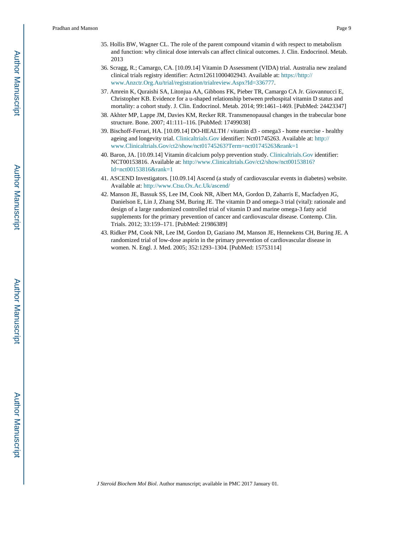- 35. Hollis BW, Wagner CL. The role of the parent compound vitamin d with respect to metabolism and function: why clinical dose intervals can affect clinical outcomes. J. Clin. Endocrinol. Metab. 2013
- 36. Scragg, R.; Camargo, CA. [10.09.14] Vitamin D Assessment (VIDA) trial. Australia new zealand clinical trials registry identifier: Actrn12611000402943. Available at: [https://http://](http://https://http://www.Anzctr.Org.Au/trial/registration/trialreview.Aspx?Id=336777) [www.Anzctr.Org.Au/trial/registration/trialreview.Aspx?Id=336777.](http://https://http://www.Anzctr.Org.Au/trial/registration/trialreview.Aspx?Id=336777)
- 37. Amrein K, Quraishi SA, Litonjua AA, Gibbons FK, Pieber TR, Camargo CA Jr. Giovannucci E, Christopher KB. Evidence for a u-shaped relationship between prehospital vitamin D status and mortality: a cohort study. J. Clin. Endocrinol. Metab. 2014; 99:1461–1469. [PubMed: 24423347]
- 38. Akhter MP, Lappe JM, Davies KM, Recker RR. Transmenopausal changes in the trabecular bone structure. Bone. 2007; 41:111–116. [PubMed: 17499038]
- 39. Bischoff-Ferrari, HA. [10.09.14] DO-HEALTH / vitamin d3 omega3 home exercise healthy ageing and longevity trial. [Clinicaltrials.Gov](http://Clinicaltrials.Gov) identifier: Nct01745263. Available at: [http://](http://www.Clinicaltrials.Gov/ct2/show/nct01745263?Term=nct01745263&rank=1) [www.Clinicaltrials.Gov/ct2/show/nct01745263?Term=nct01745263&rank=1](http://www.Clinicaltrials.Gov/ct2/show/nct01745263?Term=nct01745263&rank=1)
- 40. Baron, JA. [10.09.14] Vitamin d/calcium polyp prevention study. [Clinicaltrials.Gov](http://Clinicaltrials.Gov) identifier: NCT00153816. Available at: [http://www.Clinicaltrials.Gov/ct2/show/nct00153816?](http://www.Clinicaltrials.Gov/ct2/show/nct00153816?Id=nct00153816&rank=1) [Id=nct00153816&rank=1](http://www.Clinicaltrials.Gov/ct2/show/nct00153816?Id=nct00153816&rank=1)
- 41. ASCEND Investigators. [10.09.14] Ascend (a study of cardiovascular events in diabetes) website. Available at:<http://www.Ctsu.Ox.Ac.Uk/ascend/>
- 42. Manson JE, Bassuk SS, Lee IM, Cook NR, Albert MA, Gordon D, Zaharris E, Macfadyen JG, Danielson E, Lin J, Zhang SM, Buring JE. The vitamin D and omega-3 trial (vital): rationale and design of a large randomized controlled trial of vitamin D and marine omega-3 fatty acid supplements for the primary prevention of cancer and cardiovascular disease. Contemp. Clin. Trials. 2012; 33:159–171. [PubMed: 21986389]
- 43. Ridker PM, Cook NR, Lee IM, Gordon D, Gaziano JM, Manson JE, Hennekens CH, Buring JE. A randomized trial of low-dose aspirin in the primary prevention of cardiovascular disease in women. N. Engl. J. Med. 2005; 352:1293–1304. [PubMed: 15753114]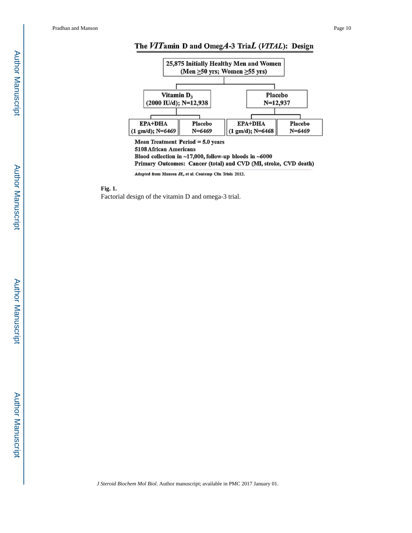Pradhan and Manson Page 10

# Author ManuscriptAuthor Manuscript

# The VITamin D and OmegA-3 TriaL (VITAL): Design



Blood collection in  $~17,000$ , follow-up bloods in  $~6000$ Primary Outcomes: Cancer (total) and CVD (MI, stroke, CVD death)

Adapted from Manson JE, et al. Contemp Clin Trials 2012.

**Fig. 1.** 

Factorial design of the vitamin D and omega-3 trial.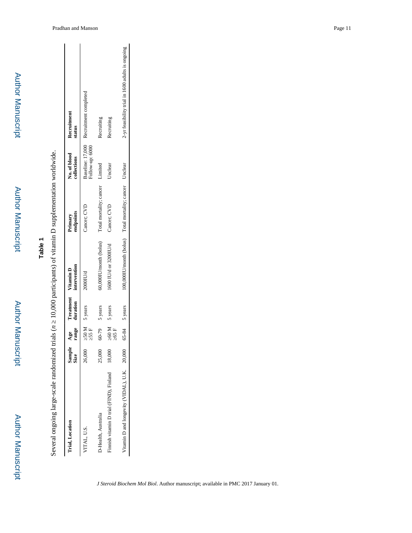| í |
|---|
| ī |
|   |
|   |
| r |
|   |
|   |
|   |
|   |
|   |
|   |
|   |
|   |
|   |
|   |
|   |
|   |
| r |
|   |
|   |

Author Manuscript

Author Manuscript

Several ongoing large-scale randomized trials (n 10,000 participants) of vitamin D supplementation worldwide. *n* 20,000 participants) of vitamin D supplementation worldwide. Several ongoing large-scale randomized trials (

| <b>Trial</b> , Location                      | Sample<br>Size |              |                        | Age Treatment Vitamin D<br>range duration intervention  | Primary<br>endpoints | No. of blood<br>collections | Recruitment<br>status                            |
|----------------------------------------------|----------------|--------------|------------------------|---------------------------------------------------------|----------------------|-----------------------------|--------------------------------------------------|
| <b>ITAL, U.S.</b>                            | 26,000         |              | $50 M$ 5 years<br>55 F | 2000IU/d                                                | Cancer; CVD          | Follow-up: 6000             | Baseline: 17,000 Recruitment completed           |
| D-Health, Australia                          | 25,000         |              | $60-79$ 5 years        | 60,000IU/month (bolus) Total mortality; cancer          |                      | Limited                     | Recruiting                                       |
| Finnish vitamin D trial (FIND), Finland      | 18,000         | 60 H<br>65 H | 5 years                | 1600 IU/d or 3200IU/d                                   | Cancer; CVD          | Unclear                     | Recruiting                                       |
| Vitamin D and longevity (VIDAL), U.K. 20,000 |                |              | $65-84$ 5 years        | 100,000IU/month (bolus) Total mortality; cancer Unclear |                      |                             | 2-yr feasibility trial in 1600 adults is ongoing |
|                                              |                |              |                        |                                                         |                      |                             |                                                  |